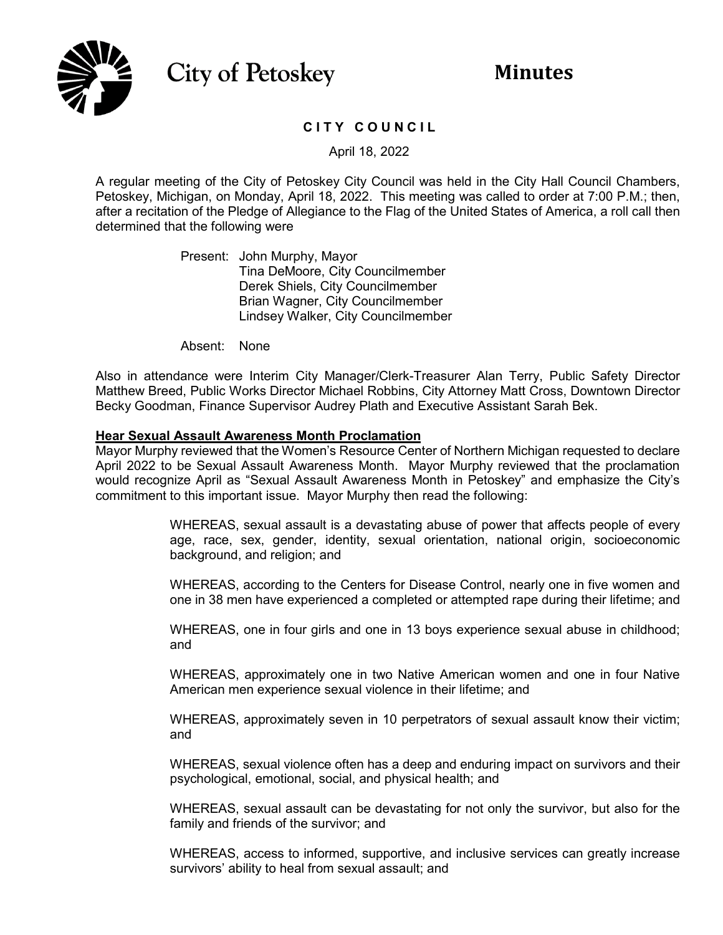

# **City of Petoskey**

# **C I T Y C O U N C I L**

April 18, 2022

A regular meeting of the City of Petoskey City Council was held in the City Hall Council Chambers, Petoskey, Michigan, on Monday, April 18, 2022. This meeting was called to order at 7:00 P.M.; then, after a recitation of the Pledge of Allegiance to the Flag of the United States of America, a roll call then determined that the following were

> Present: John Murphy, Mayor Tina DeMoore, City Councilmember Derek Shiels, City Councilmember Brian Wagner, City Councilmember Lindsey Walker, City Councilmember

Absent: None

Also in attendance were Interim City Manager/Clerk-Treasurer Alan Terry, Public Safety Director Matthew Breed, Public Works Director Michael Robbins, City Attorney Matt Cross, Downtown Director Becky Goodman, Finance Supervisor Audrey Plath and Executive Assistant Sarah Bek.

#### **Hear Sexual Assault Awareness Month Proclamation**

Mayor Murphy reviewed that the Women's Resource Center of Northern Michigan requested to declare April 2022 to be Sexual Assault Awareness Month. Mayor Murphy reviewed that the proclamation would recognize April as "Sexual Assault Awareness Month in Petoskey" and emphasize the City's commitment to this important issue. Mayor Murphy then read the following:

> WHEREAS, sexual assault is a devastating abuse of power that affects people of every age, race, sex, gender, identity, sexual orientation, national origin, socioeconomic background, and religion; and

> WHEREAS, according to the Centers for Disease Control, nearly one in five women and one in 38 men have experienced a completed or attempted rape during their lifetime; and

> WHEREAS, one in four girls and one in 13 boys experience sexual abuse in childhood; and

> WHEREAS, approximately one in two Native American women and one in four Native American men experience sexual violence in their lifetime; and

> WHEREAS, approximately seven in 10 perpetrators of sexual assault know their victim; and

> WHEREAS, sexual violence often has a deep and enduring impact on survivors and their psychological, emotional, social, and physical health; and

> WHEREAS, sexual assault can be devastating for not only the survivor, but also for the family and friends of the survivor; and

> WHEREAS, access to informed, supportive, and inclusive services can greatly increase survivors' ability to heal from sexual assault; and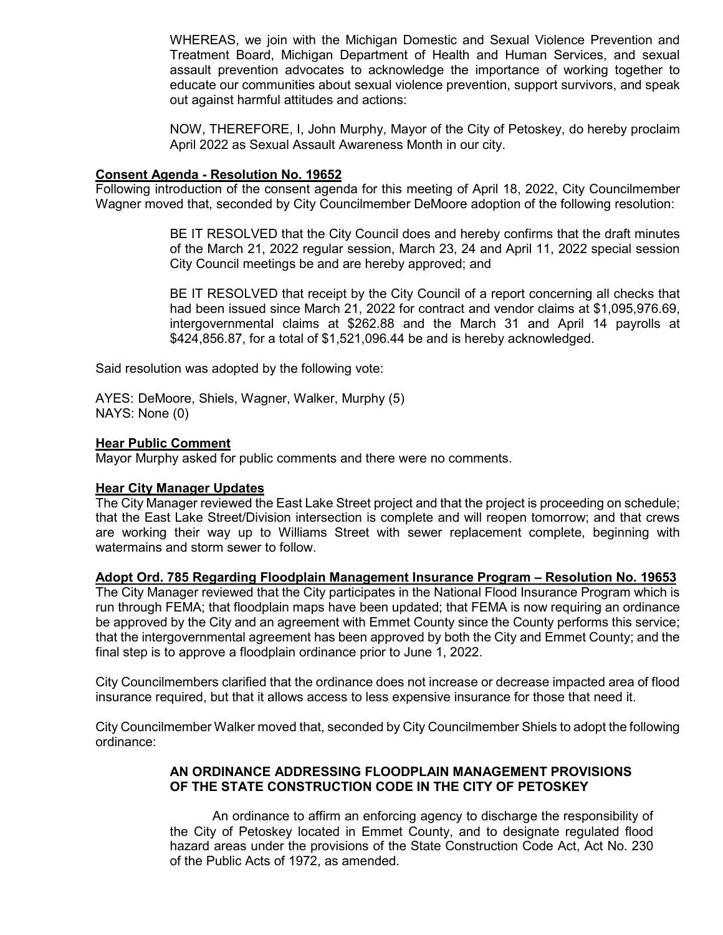WHEREAS, we join with the Michigan Domestic and Sexual Violence Prevention and Treatment Board, Michigan Department of Health and Human Services, and sexual assault prevention advocates to acknowledge the importance of working together to educate our communities about sexual violence prevention, support survivors, and speak out against harmful attitudes and actions:

NOW, THEREFORE, I, John Murphy, Mayor of the City of Petoskey, do hereby proclaim April 2022 as Sexual Assault Awareness Month in our city.

#### **Consent Agenda - Resolution No. 19652**

Following introduction of the consent agenda for this meeting of April 18, 2022, City Councilmember Wagner moved that, seconded by City Councilmember DeMoore adoption of the following resolution:

> BE IT RESOLVED that the City Council does and hereby confirms that the draft minutes of the March 21, 2022 regular session, March 23, 24 and April 11, 2022 special session City Council meetings be and are hereby approved; and

> BE IT RESOLVED that receipt by the City Council of a report concerning all checks that had been issued since March 21, 2022 for contract and vendor claims at \$1,095,976.69, intergovernmental claims at \$262.88 and the March 31 and April 14 payrolls at \$424,856.87, for a total of \$1,521,096.44 be and is hereby acknowledged.

Said resolution was adopted by the following vote:

AYES: DeMoore, Shiels, Wagner, Walker, Murphy (5) NAYS: None (0)

# **Hear Public Comment**

Mayor Murphy asked for public comments and there were no comments.

# **Hear City Manager Updates**

The City Manager reviewed the East Lake Street project and that the project is proceeding on schedule; that the East Lake Street/Division intersection is complete and will reopen tomorrow; and that crews are working their way up to Williams Street with sewer replacement complete, beginning with watermains and storm sewer to follow.

# **Adopt Ord. 785 Regarding Floodplain Management Insurance Program – Resolution No. 19653**

The City Manager reviewed that the City participates in the National Flood Insurance Program which is run through FEMA; that floodplain maps have been updated; that FEMA is now requiring an ordinance be approved by the City and an agreement with Emmet County since the County performs this service; that the intergovernmental agreement has been approved by both the City and Emmet County; and the final step is to approve a floodplain ordinance prior to June 1, 2022.

City Councilmembers clarified that the ordinance does not increase or decrease impacted area of flood insurance required, but that it allows access to less expensive insurance for those that need it.

City Councilmember Walker moved that, seconded by City Councilmember Shiels to adopt the following ordinance:

# **AN ORDINANCE ADDRESSING FLOODPLAIN MANAGEMENT PROVISIONS OF THE STATE CONSTRUCTION CODE IN THE CITY OF PETOSKEY**

An ordinance to affirm an enforcing agency to discharge the responsibility of the City of Petoskey located in Emmet County, and to designate regulated flood hazard areas under the provisions of the State Construction Code Act, Act No. 230 of the Public Acts of 1972, as amended.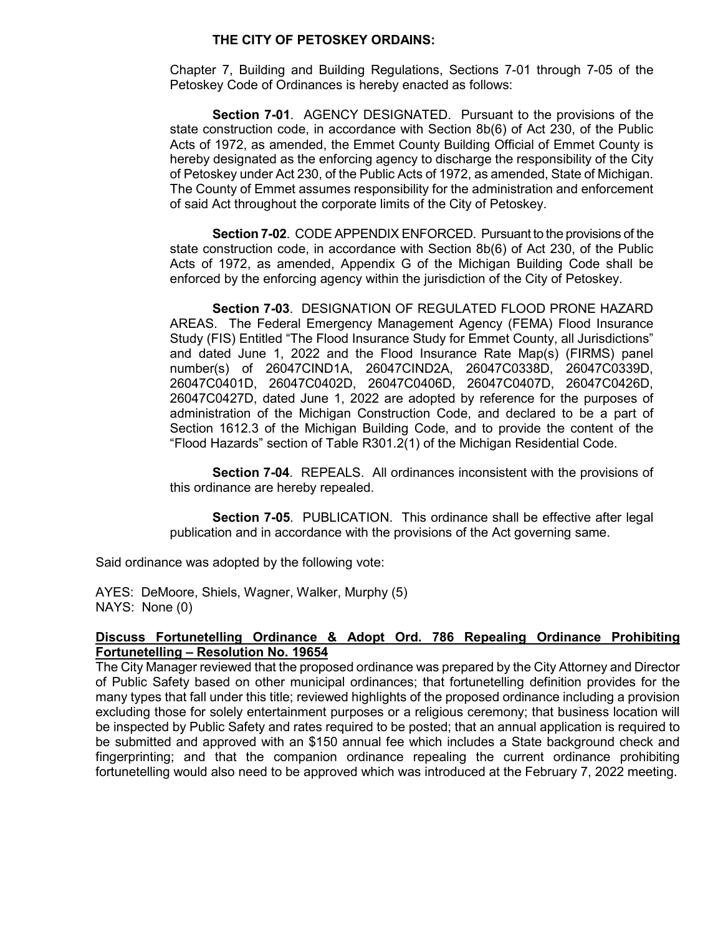#### **THE CITY OF PETOSKEY ORDAINS:**

Chapter 7, Building and Building Regulations, Sections 7-01 through 7-05 of the Petoskey Code of Ordinances is hereby enacted as follows:

**Section 7-01**. AGENCY DESIGNATED. Pursuant to the provisions of the state construction code, in accordance with Section 8b(6) of Act 230, of the Public Acts of 1972, as amended, the Emmet County Building Official of Emmet County is hereby designated as the enforcing agency to discharge the responsibility of the City of Petoskey under Act 230, of the Public Acts of 1972, as amended, State of Michigan. The County of Emmet assumes responsibility for the administration and enforcement of said Act throughout the corporate limits of the City of Petoskey.

**Section 7-02**. CODE APPENDIX ENFORCED. Pursuant to the provisions of the state construction code, in accordance with Section 8b(6) of Act 230, of the Public Acts of 1972, as amended, Appendix G of the Michigan Building Code shall be enforced by the enforcing agency within the jurisdiction of the City of Petoskey.

**Section 7-03**. DESIGNATION OF REGULATED FLOOD PRONE HAZARD AREAS. The Federal Emergency Management Agency (FEMA) Flood Insurance Study (FIS) Entitled "The Flood Insurance Study for Emmet County, all Jurisdictions" and dated June 1, 2022 and the Flood Insurance Rate Map(s) (FIRMS) panel number(s) of 26047CIND1A, 26047CIND2A, 26047C0338D, 26047C0339D, 26047C0401D, 26047C0402D, 26047C0406D, 26047C0407D, 26047C0426D, 26047C0427D, dated June 1, 2022 are adopted by reference for the purposes of administration of the Michigan Construction Code, and declared to be a part of Section 1612.3 of the Michigan Building Code, and to provide the content of the "Flood Hazards" section of Table R301.2(1) of the Michigan Residential Code.

**Section 7-04**. REPEALS. All ordinances inconsistent with the provisions of this ordinance are hereby repealed.

**Section 7-05**. PUBLICATION. This ordinance shall be effective after legal publication and in accordance with the provisions of the Act governing same.

Said ordinance was adopted by the following vote:

AYES: DeMoore, Shiels, Wagner, Walker, Murphy (5) NAYS: None (0)

# **Discuss Fortunetelling Ordinance & Adopt Ord. 786 Repealing Ordinance Prohibiting Fortunetelling – Resolution No. 19654**

The City Manager reviewed that the proposed ordinance was prepared by the City Attorney and Director of Public Safety based on other municipal ordinances; that fortunetelling definition provides for the many types that fall under this title; reviewed highlights of the proposed ordinance including a provision excluding those for solely entertainment purposes or a religious ceremony; that business location will be inspected by Public Safety and rates required to be posted; that an annual application is required to be submitted and approved with an \$150 annual fee which includes a State background check and fingerprinting; and that the companion ordinance repealing the current ordinance prohibiting fortunetelling would also need to be approved which was introduced at the February 7, 2022 meeting.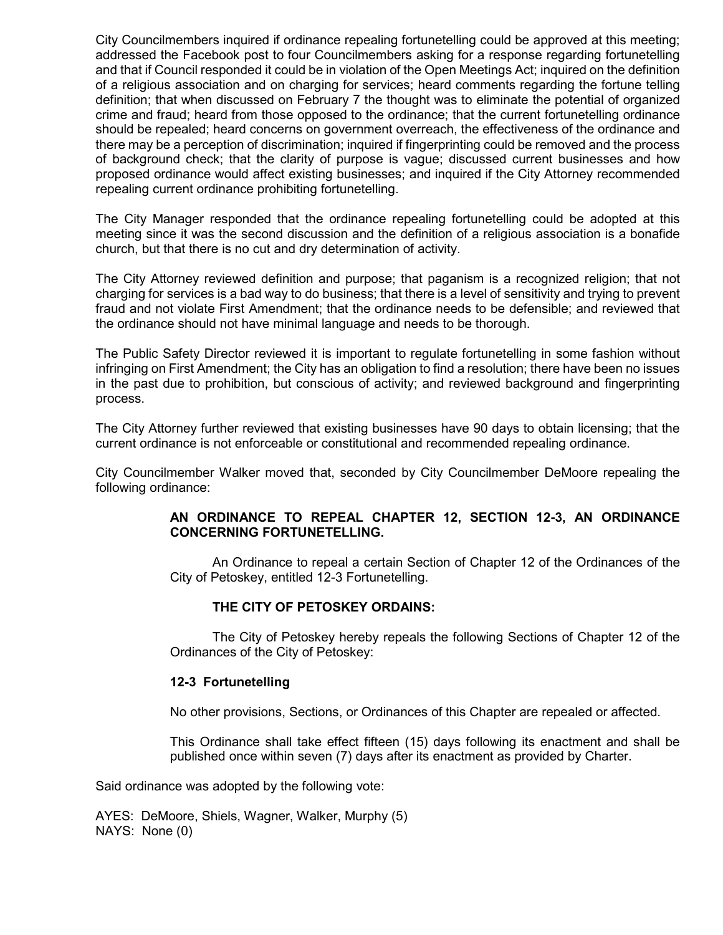City Councilmembers inquired if ordinance repealing fortunetelling could be approved at this meeting; addressed the Facebook post to four Councilmembers asking for a response regarding fortunetelling and that if Council responded it could be in violation of the Open Meetings Act; inquired on the definition of a religious association and on charging for services; heard comments regarding the fortune telling definition; that when discussed on February 7 the thought was to eliminate the potential of organized crime and fraud; heard from those opposed to the ordinance; that the current fortunetelling ordinance should be repealed; heard concerns on government overreach, the effectiveness of the ordinance and there may be a perception of discrimination; inquired if fingerprinting could be removed and the process of background check; that the clarity of purpose is vague; discussed current businesses and how proposed ordinance would affect existing businesses; and inquired if the City Attorney recommended repealing current ordinance prohibiting fortunetelling.

The City Manager responded that the ordinance repealing fortunetelling could be adopted at this meeting since it was the second discussion and the definition of a religious association is a bonafide church, but that there is no cut and dry determination of activity.

The City Attorney reviewed definition and purpose; that paganism is a recognized religion; that not charging for services is a bad way to do business; that there is a level of sensitivity and trying to prevent fraud and not violate First Amendment; that the ordinance needs to be defensible; and reviewed that the ordinance should not have minimal language and needs to be thorough.

The Public Safety Director reviewed it is important to regulate fortunetelling in some fashion without infringing on First Amendment; the City has an obligation to find a resolution; there have been no issues in the past due to prohibition, but conscious of activity; and reviewed background and fingerprinting process.

The City Attorney further reviewed that existing businesses have 90 days to obtain licensing; that the current ordinance is not enforceable or constitutional and recommended repealing ordinance.

City Councilmember Walker moved that, seconded by City Councilmember DeMoore repealing the following ordinance:

# **AN ORDINANCE TO REPEAL CHAPTER 12, SECTION 12-3, AN ORDINANCE CONCERNING FORTUNETELLING.**

An Ordinance to repeal a certain Section of Chapter 12 of the Ordinances of the City of Petoskey, entitled 12-3 Fortunetelling.

#### **THE CITY OF PETOSKEY ORDAINS:**

The City of Petoskey hereby repeals the following Sections of Chapter 12 of the Ordinances of the City of Petoskey:

#### **12-3 Fortunetelling**

No other provisions, Sections, or Ordinances of this Chapter are repealed or affected.

This Ordinance shall take effect fifteen (15) days following its enactment and shall be published once within seven (7) days after its enactment as provided by Charter.

Said ordinance was adopted by the following vote:

AYES: DeMoore, Shiels, Wagner, Walker, Murphy (5) NAYS: None (0)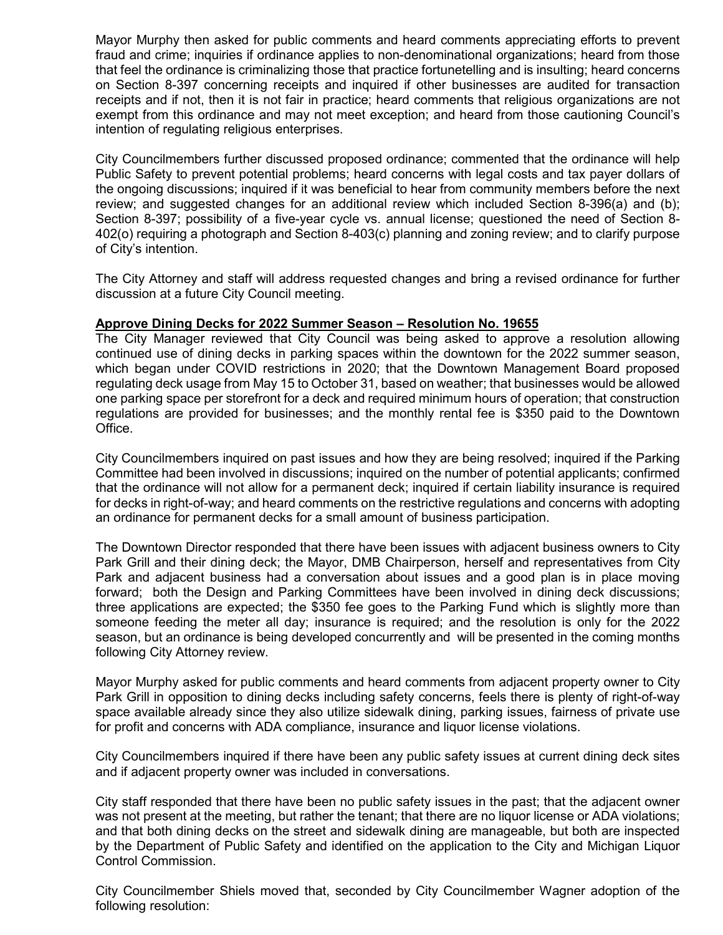Mayor Murphy then asked for public comments and heard comments appreciating efforts to prevent fraud and crime; inquiries if ordinance applies to non-denominational organizations; heard from those that feel the ordinance is criminalizing those that practice fortunetelling and is insulting; heard concerns on Section 8-397 concerning receipts and inquired if other businesses are audited for transaction receipts and if not, then it is not fair in practice; heard comments that religious organizations are not exempt from this ordinance and may not meet exception; and heard from those cautioning Council's intention of regulating religious enterprises.

City Councilmembers further discussed proposed ordinance; commented that the ordinance will help Public Safety to prevent potential problems; heard concerns with legal costs and tax payer dollars of the ongoing discussions; inquired if it was beneficial to hear from community members before the next review; and suggested changes for an additional review which included Section 8-396(a) and (b); Section 8-397; possibility of a five-year cycle vs. annual license; questioned the need of Section 8- 402(o) requiring a photograph and Section 8-403(c) planning and zoning review; and to clarify purpose of City's intention.

The City Attorney and staff will address requested changes and bring a revised ordinance for further discussion at a future City Council meeting.

# **Approve Dining Decks for 2022 Summer Season – Resolution No. 19655**

The City Manager reviewed that City Council was being asked to approve a resolution allowing continued use of dining decks in parking spaces within the downtown for the 2022 summer season, which began under COVID restrictions in 2020; that the Downtown Management Board proposed regulating deck usage from May 15 to October 31, based on weather; that businesses would be allowed one parking space per storefront for a deck and required minimum hours of operation; that construction regulations are provided for businesses; and the monthly rental fee is \$350 paid to the Downtown Office.

City Councilmembers inquired on past issues and how they are being resolved; inquired if the Parking Committee had been involved in discussions; inquired on the number of potential applicants; confirmed that the ordinance will not allow for a permanent deck; inquired if certain liability insurance is required for decks in right-of-way; and heard comments on the restrictive regulations and concerns with adopting an ordinance for permanent decks for a small amount of business participation.

The Downtown Director responded that there have been issues with adjacent business owners to City Park Grill and their dining deck; the Mayor, DMB Chairperson, herself and representatives from City Park and adjacent business had a conversation about issues and a good plan is in place moving forward; both the Design and Parking Committees have been involved in dining deck discussions; three applications are expected; the \$350 fee goes to the Parking Fund which is slightly more than someone feeding the meter all day; insurance is required; and the resolution is only for the 2022 season, but an ordinance is being developed concurrently and will be presented in the coming months following City Attorney review.

Mayor Murphy asked for public comments and heard comments from adjacent property owner to City Park Grill in opposition to dining decks including safety concerns, feels there is plenty of right-of-way space available already since they also utilize sidewalk dining, parking issues, fairness of private use for profit and concerns with ADA compliance, insurance and liquor license violations.

City Councilmembers inquired if there have been any public safety issues at current dining deck sites and if adjacent property owner was included in conversations.

City staff responded that there have been no public safety issues in the past; that the adjacent owner was not present at the meeting, but rather the tenant; that there are no liquor license or ADA violations; and that both dining decks on the street and sidewalk dining are manageable, but both are inspected by the Department of Public Safety and identified on the application to the City and Michigan Liquor Control Commission.

City Councilmember Shiels moved that, seconded by City Councilmember Wagner adoption of the following resolution: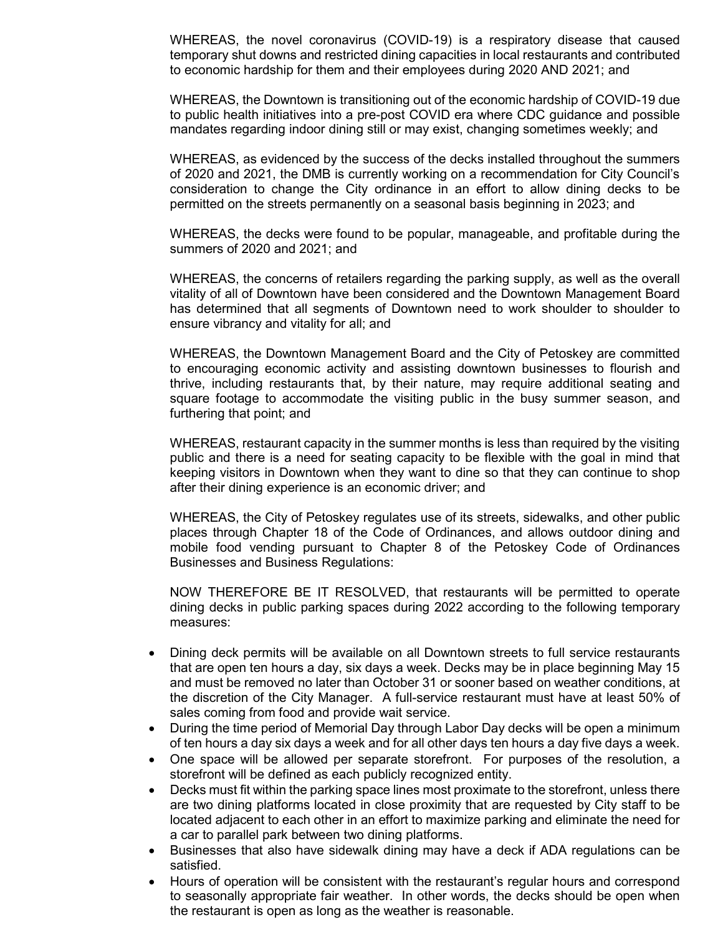WHEREAS, the novel coronavirus (COVID-19) is a respiratory disease that caused temporary shut downs and restricted dining capacities in local restaurants and contributed to economic hardship for them and their employees during 2020 AND 2021; and

WHEREAS, the Downtown is transitioning out of the economic hardship of COVID-19 due to public health initiatives into a pre-post COVID era where CDC guidance and possible mandates regarding indoor dining still or may exist, changing sometimes weekly; and

WHEREAS, as evidenced by the success of the decks installed throughout the summers of 2020 and 2021, the DMB is currently working on a recommendation for City Council's consideration to change the City ordinance in an effort to allow dining decks to be permitted on the streets permanently on a seasonal basis beginning in 2023; and

WHEREAS, the decks were found to be popular, manageable, and profitable during the summers of 2020 and 2021; and

WHEREAS, the concerns of retailers regarding the parking supply, as well as the overall vitality of all of Downtown have been considered and the Downtown Management Board has determined that all segments of Downtown need to work shoulder to shoulder to ensure vibrancy and vitality for all; and

WHEREAS, the Downtown Management Board and the City of Petoskey are committed to encouraging economic activity and assisting downtown businesses to flourish and thrive, including restaurants that, by their nature, may require additional seating and square footage to accommodate the visiting public in the busy summer season, and furthering that point; and

WHEREAS, restaurant capacity in the summer months is less than required by the visiting public and there is a need for seating capacity to be flexible with the goal in mind that keeping visitors in Downtown when they want to dine so that they can continue to shop after their dining experience is an economic driver; and

WHEREAS, the City of Petoskey regulates use of its streets, sidewalks, and other public places through Chapter 18 of the Code of Ordinances, and allows outdoor dining and mobile food vending pursuant to Chapter 8 of the Petoskey Code of Ordinances Businesses and Business Regulations:

NOW THEREFORE BE IT RESOLVED, that restaurants will be permitted to operate dining decks in public parking spaces during 2022 according to the following temporary measures:

- Dining deck permits will be available on all Downtown streets to full service restaurants that are open ten hours a day, six days a week. Decks may be in place beginning May 15 and must be removed no later than October 31 or sooner based on weather conditions, at the discretion of the City Manager. A full-service restaurant must have at least 50% of sales coming from food and provide wait service.
- During the time period of Memorial Day through Labor Day decks will be open a minimum of ten hours a day six days a week and for all other days ten hours a day five days a week.
- One space will be allowed per separate storefront. For purposes of the resolution, a storefront will be defined as each publicly recognized entity.
- Decks must fit within the parking space lines most proximate to the storefront, unless there are two dining platforms located in close proximity that are requested by City staff to be located adjacent to each other in an effort to maximize parking and eliminate the need for a car to parallel park between two dining platforms.
- Businesses that also have sidewalk dining may have a deck if ADA regulations can be satisfied.
- Hours of operation will be consistent with the restaurant's regular hours and correspond to seasonally appropriate fair weather. In other words, the decks should be open when the restaurant is open as long as the weather is reasonable.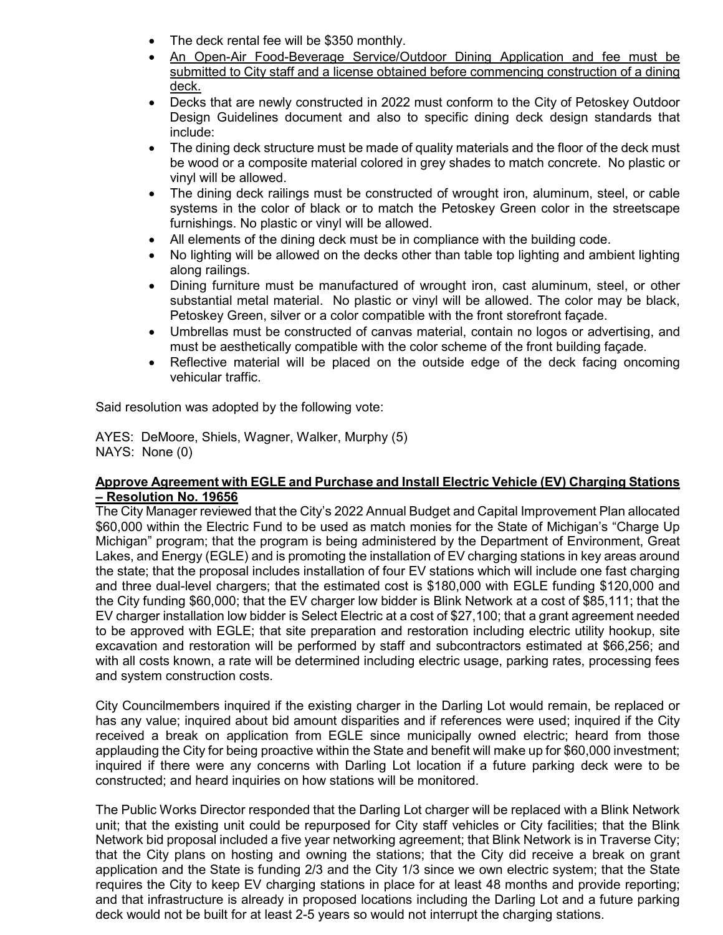- The deck rental fee will be \$350 monthly.
- An Open-Air Food-Beverage Service/Outdoor Dining Application and fee must be submitted to City staff and a license obtained before commencing construction of a dining deck.
- Decks that are newly constructed in 2022 must conform to the City of Petoskey Outdoor Design Guidelines document and also to specific dining deck design standards that include:
- The dining deck structure must be made of quality materials and the floor of the deck must be wood or a composite material colored in grey shades to match concrete. No plastic or vinyl will be allowed.
- The dining deck railings must be constructed of wrought iron, aluminum, steel, or cable systems in the color of black or to match the Petoskey Green color in the streetscape furnishings. No plastic or vinyl will be allowed.
- All elements of the dining deck must be in compliance with the building code.
- No lighting will be allowed on the decks other than table top lighting and ambient lighting along railings.
- Dining furniture must be manufactured of wrought iron, cast aluminum, steel, or other substantial metal material. No plastic or vinyl will be allowed. The color may be black, Petoskey Green, silver or a color compatible with the front storefront façade.
- Umbrellas must be constructed of canvas material, contain no logos or advertising, and must be aesthetically compatible with the color scheme of the front building façade.
- Reflective material will be placed on the outside edge of the deck facing oncoming vehicular traffic.

Said resolution was adopted by the following vote:

AYES: DeMoore, Shiels, Wagner, Walker, Murphy (5) NAYS: None (0)

# **Approve Agreement with EGLE and Purchase and Install Electric Vehicle (EV) Charging Stations – Resolution No. 19656**

The City Manager reviewed that the City's 2022 Annual Budget and Capital Improvement Plan allocated \$60,000 within the Electric Fund to be used as match monies for the State of Michigan's "Charge Up Michigan" program; that the program is being administered by the Department of Environment, Great Lakes, and Energy (EGLE) and is promoting the installation of EV charging stations in key areas around the state; that the proposal includes installation of four EV stations which will include one fast charging and three dual-level chargers; that the estimated cost is \$180,000 with EGLE funding \$120,000 and the City funding \$60,000; that the EV charger low bidder is Blink Network at a cost of \$85,111; that the EV charger installation low bidder is Select Electric at a cost of \$27,100; that a grant agreement needed to be approved with EGLE; that site preparation and restoration including electric utility hookup, site excavation and restoration will be performed by staff and subcontractors estimated at \$66,256; and with all costs known, a rate will be determined including electric usage, parking rates, processing fees and system construction costs.

City Councilmembers inquired if the existing charger in the Darling Lot would remain, be replaced or has any value; inquired about bid amount disparities and if references were used; inquired if the City received a break on application from EGLE since municipally owned electric; heard from those applauding the City for being proactive within the State and benefit will make up for \$60,000 investment; inquired if there were any concerns with Darling Lot location if a future parking deck were to be constructed; and heard inquiries on how stations will be monitored.

The Public Works Director responded that the Darling Lot charger will be replaced with a Blink Network unit; that the existing unit could be repurposed for City staff vehicles or City facilities; that the Blink Network bid proposal included a five year networking agreement; that Blink Network is in Traverse City; that the City plans on hosting and owning the stations; that the City did receive a break on grant application and the State is funding 2/3 and the City 1/3 since we own electric system; that the State requires the City to keep EV charging stations in place for at least 48 months and provide reporting; and that infrastructure is already in proposed locations including the Darling Lot and a future parking deck would not be built for at least 2-5 years so would not interrupt the charging stations.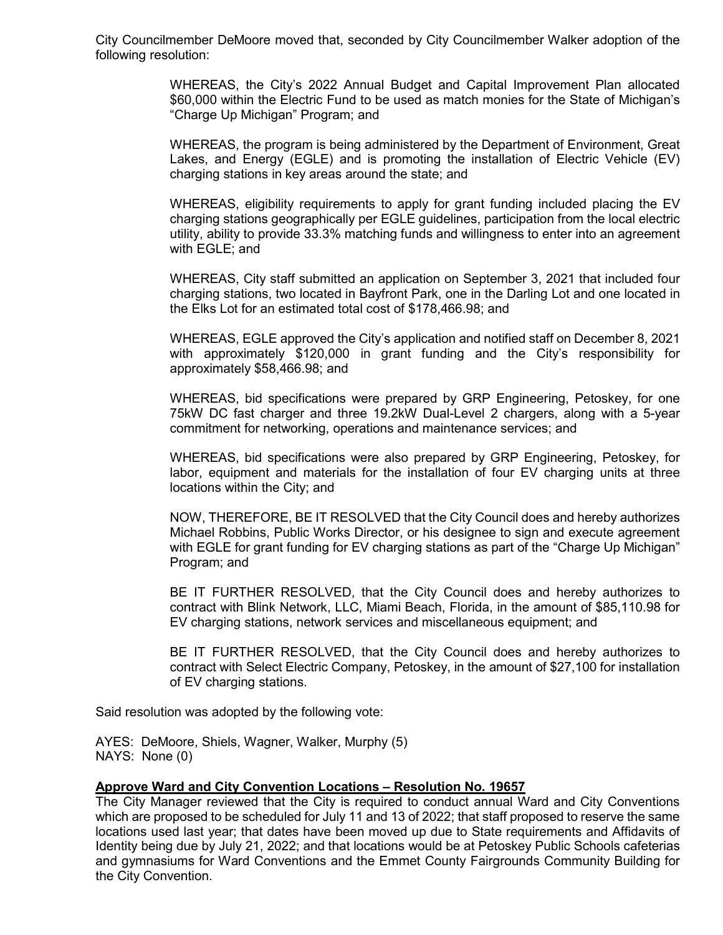City Councilmember DeMoore moved that, seconded by City Councilmember Walker adoption of the following resolution:

> WHEREAS, the City's 2022 Annual Budget and Capital Improvement Plan allocated \$60,000 within the Electric Fund to be used as match monies for the State of Michigan's "Charge Up Michigan" Program; and

> WHEREAS, the program is being administered by the Department of Environment, Great Lakes, and Energy (EGLE) and is promoting the installation of Electric Vehicle (EV) charging stations in key areas around the state; and

> WHEREAS, eligibility requirements to apply for grant funding included placing the EV charging stations geographically per EGLE guidelines, participation from the local electric utility, ability to provide 33.3% matching funds and willingness to enter into an agreement with EGLE; and

> WHEREAS, City staff submitted an application on September 3, 2021 that included four charging stations, two located in Bayfront Park, one in the Darling Lot and one located in the Elks Lot for an estimated total cost of \$178,466.98; and

> WHEREAS, EGLE approved the City's application and notified staff on December 8, 2021 with approximately \$120,000 in grant funding and the City's responsibility for approximately \$58,466.98; and

> WHEREAS, bid specifications were prepared by GRP Engineering, Petoskey, for one 75kW DC fast charger and three 19.2kW Dual-Level 2 chargers, along with a 5-year commitment for networking, operations and maintenance services; and

> WHEREAS, bid specifications were also prepared by GRP Engineering, Petoskey, for labor, equipment and materials for the installation of four EV charging units at three locations within the City; and

> NOW, THEREFORE, BE IT RESOLVED that the City Council does and hereby authorizes Michael Robbins, Public Works Director, or his designee to sign and execute agreement with EGLE for grant funding for EV charging stations as part of the "Charge Up Michigan" Program; and

> BE IT FURTHER RESOLVED, that the City Council does and hereby authorizes to contract with Blink Network, LLC, Miami Beach, Florida, in the amount of \$85,110.98 for EV charging stations, network services and miscellaneous equipment; and

> BE IT FURTHER RESOLVED, that the City Council does and hereby authorizes to contract with Select Electric Company, Petoskey, in the amount of \$27,100 for installation of EV charging stations.

Said resolution was adopted by the following vote:

AYES: DeMoore, Shiels, Wagner, Walker, Murphy (5) NAYS: None (0)

#### **Approve Ward and City Convention Locations – Resolution No. 19657**

The City Manager reviewed that the City is required to conduct annual Ward and City Conventions which are proposed to be scheduled for July 11 and 13 of 2022; that staff proposed to reserve the same locations used last year; that dates have been moved up due to State requirements and Affidavits of Identity being due by July 21, 2022; and that locations would be at Petoskey Public Schools cafeterias and gymnasiums for Ward Conventions and the Emmet County Fairgrounds Community Building for the City Convention.